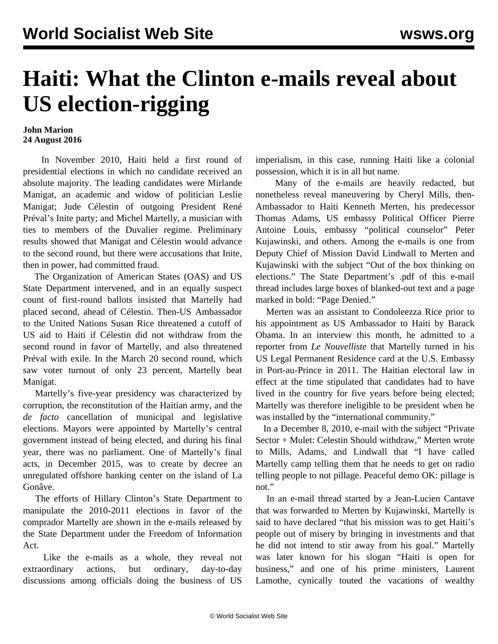## **Haiti: What the Clinton e-mails reveal about US election-rigging**

## **John Marion 24 August 2016**

 In November 2010, Haiti held a first round of presidential elections in which no candidate received an absolute majority. The leading candidates were Mirlande Manigat, an academic and widow of politician Leslie Manigat; Jude Célestin of outgoing President René Préval's Inite party; and Michel Martelly, a musician with ties to members of the Duvalier regime. Preliminary results showed that Manigat and Célestin would advance to the second round, but there were accusations that Inite, then in power, had committed fraud.

 The Organization of American States (OAS) and US State Department intervened, and in an equally suspect count of first-round ballots insisted that Martelly had placed second, ahead of Célestin. Then-US Ambassador to the United Nations Susan Rice threatened a cutoff of US aid to Haiti if Célestin did not withdraw from the second round in favor of Martelly, and also threatened Préval with exile. In the March 20 second round, which saw voter turnout of only 23 percent, Martelly beat Manigat.

 Martelly's five-year presidency was characterized by corruption, the reconstitution of the Haitian army, and the *de facto* cancellation of municipal and legislative elections. Mayors were appointed by Martelly's central government instead of being elected, and during his final year, there was no parliament. One of Martelly's final acts, in December 2015, was to create by decree an unregulated offshore banking center on the island of La Gonâve.

 The efforts of Hillary Clinton's State Department to manipulate the 2010-2011 elections in favor of the comprador Martelly are shown in the e-mails released by the State Department under the Freedom of Information Act.

 Like the e-mails as a whole, they reveal not extraordinary actions, but ordinary, day-to-day discussions among officials doing the business of US

imperialism, in this case, running Haiti like a colonial possession, which it is in all but name.

 Many of the e-mails are heavily redacted, but nonetheless reveal maneuvering by Cheryl Mills, then-Ambassador to Haiti Kenneth Merten, his predecessor Thomas Adams, US embassy Political Officer Pierre Antoine Louis, embassy "political counselor" Peter Kujawinski, and others. Among the e-mails is one from Deputy Chief of Mission David Lindwall to Merten and Kujawinski with the subject "Out of the box thinking on elections." The State Department's .pdf of this e-mail thread includes large boxes of blanked-out text and a page marked in bold: "Page Denied."

 Merten was an assistant to Condoleezza Rice prior to his appointment as US Ambassador to Haiti by Barack Obama. In an interview this month, he admitted to a reporter from *Le Nouvelliste* that Martelly turned in his US Legal Permanent Residence card at the U.S. Embassy in Port-au-Prince in 2011. The Haitian electoral law in effect at the time stipulated that candidates had to have lived in the country for five years before being elected; Martelly was therefore ineligible to be president when he was installed by the "international community."

 In a December 8, 2010, e-mail with the subject "Private Sector + Mulet: Celestin Should withdraw," Merten wrote to Mills, Adams, and Lindwall that "I have called Martelly camp telling them that he needs to get on radio telling people to not pillage. Peaceful demo OK: pillage is not."

 In an e-mail thread started by a Jean-Lucien Cantave that was forwarded to Merten by Kujawinski, Martelly is said to have declared "that his mission was to get Haiti's people out of misery by bringing in investments and that he did not intend to stir away from his goal." Martelly was later known for his slogan "Haiti is open for business," and one of his prime ministers, Laurent Lamothe, cynically touted the vacations of wealthy